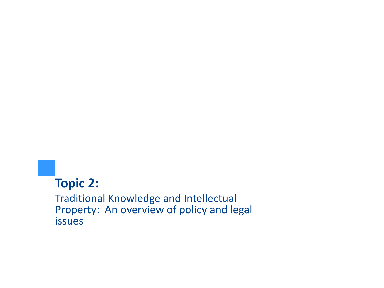#### **Topic 2:**

Traditional Knowledge and Intellectual Property: An overview of policy and legal issues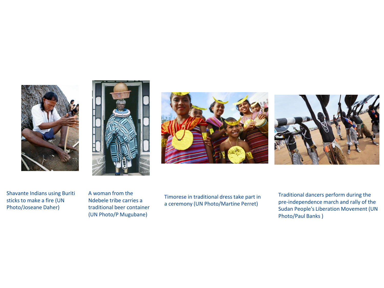







Shavante Indians using Buriti sticks to make a fire (UN Photo/Joseane Daher)

A woman from the Ndebele tribe carries a traditional beer container (UN Photo/P Mugubane)

Timorese in traditional dress take part in a ceremony (UN Photo/Martine Perret)

Traditional dancers perform during the pre-independence march and rally of the Sudan People's Liberation Movement (UN Photo/Paul Banks )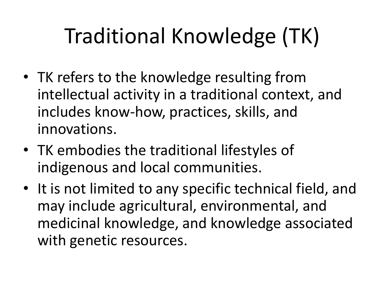# Traditional Knowledge (TK)

- TK refers to the knowledge resulting from intellectual activity in a traditional context, and includes know-how, practices, skills, and innovations.
- TK embodies the traditional lifestyles of indigenous and local communities.
- It is not limited to any specific technical field, and may include agricultural, environmental, and medicinal knowledge, and knowledge associated with genetic resources.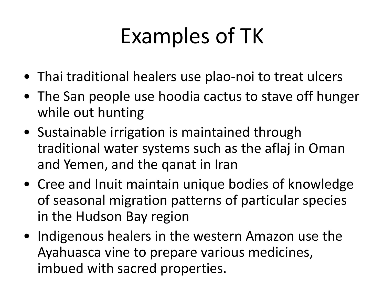# Examples of TK

- Thai traditional healers use plao-noi to treat ulcers
- The San people use hoodia cactus to stave off hunger while out hunting
- Sustainable irrigation is maintained through traditional water systems such as the aflaj in Oman and Yemen, and the qanat in Iran
- Cree and Inuit maintain unique bodies of knowledge of seasonal migration patterns of particular species in the Hudson Bay region
- Indigenous healers in the western Amazon use the Ayahuasca vine to prepare various medicines, imbued with sacred properties.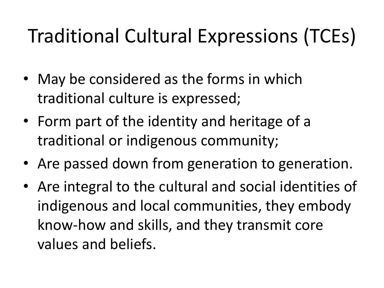## Traditional Cultural Expressions (TCEs)

- May be considered as the forms in which traditional culture is expressed;
- Form part of the identity and heritage of a traditional or indigenous community;
- Are passed down from generation to generation.
- Are integral to the cultural and social identities of indigenous and local communities, they embody know-how and skills, and they transmit core values and beliefs.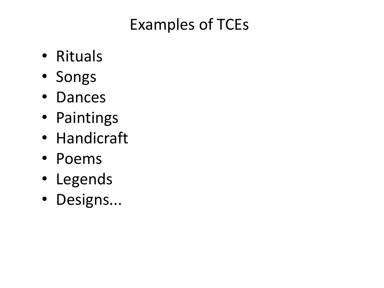### Examples of TCEs

- Rituals
- Songs
- Dances
- Paintings
- Handicraft
- Poems
- Legends
- Designs...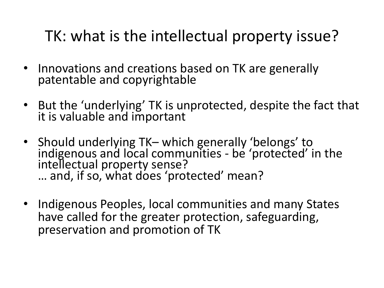#### TK: what is the intellectual property issue?

- Innovations and creations based on TK are generally patentable and copyrightable
- But the 'underlying' TK is unprotected, despite the fact that it is valuable and important
- Should underlying TK– which generally 'belongs' to indigenous and local communities - be 'protected' in the intellectual property sense? … and, if so, what does 'protected' mean?
- Indigenous Peoples, local communities and many States have called for the greater protection, safeguarding, preservation and promotion of TK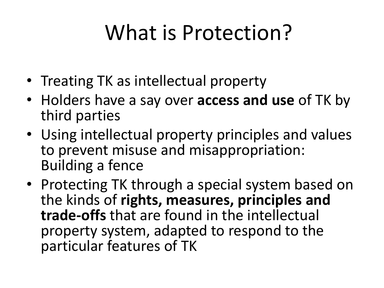## What is Protection?

- Treating TK as intellectual property
- Holders have a say over **access and use** of TK by third parties
- Using intellectual property principles and values to prevent misuse and misappropriation: Building a fence
- Protecting TK through a special system based on the kinds of **rights, measures, principles and trade-offs** that are found in the intellectual property system, adapted to respond to the particular features of TK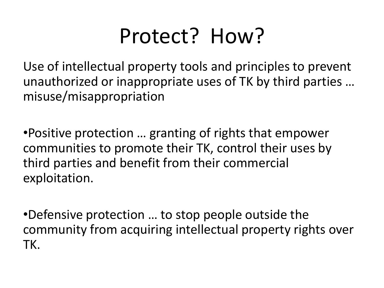## Protect? How?

Use of intellectual property tools and principles to prevent unauthorized or inappropriate uses of TK by third parties … misuse/misappropriation

•Positive protection … granting of rights that empower communities to promote their TK, control their uses by third parties and benefit from their commercial exploitation.

•Defensive protection … to stop people outside the community from acquiring intellectual property rights over TK.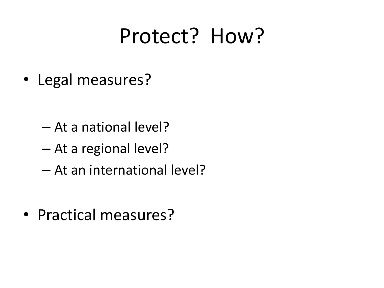## Protect? How?

• Legal measures?

- At a national level?
- At a regional level?
- At an international level?
- Practical measures?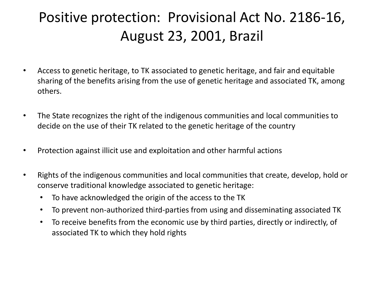#### Positive protection: Provisional Act No. 2186-16, August 23, 2001, Brazil

- Access to genetic heritage, to TK associated to genetic heritage, and fair and equitable sharing of the benefits arising from the use of genetic heritage and associated TK, among others.
- The State recognizes the right of the indigenous communities and local communities to decide on the use of their TK related to the genetic heritage of the country
- Protection against illicit use and exploitation and other harmful actions
- Rights of the indigenous communities and local communities that create, develop, hold or conserve traditional knowledge associated to genetic heritage:
	- To have acknowledged the origin of the access to the TK
	- To prevent non-authorized third-parties from using and disseminating associated TK
	- To receive benefits from the economic use by third parties, directly or indirectly, of associated TK to which they hold rights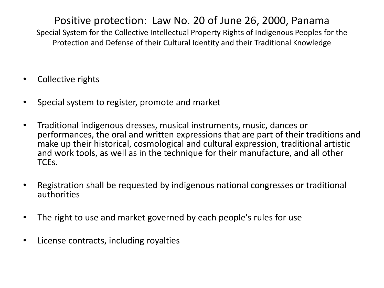Positive protection: Law No. 20 of June 26, 2000, Panama Special System for the Collective Intellectual Property Rights of Indigenous Peoples for the Protection and Defense of their Cultural Identity and their Traditional Knowledge

- Collective rights
- Special system to register, promote and market
- Traditional indigenous dresses, musical instruments, music, dances or performances, the oral and written expressions that are part of their traditions and make up their historical, cosmological and cultural expression, traditional artistic and work tools, as well as in the technique for their manufacture, and all other TCEs.
- Registration shall be requested by indigenous national congresses or traditional authorities
- The right to use and market governed by each people's rules for use
- License contracts, including royalties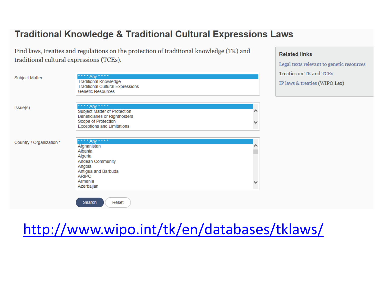#### **Traditional Knowledge & Traditional Cultural Expressions Laws**

Find laws, treaties and regulations on the protection of traditional knowledge (TK) and traditional cultural expressions (TCEs).

#### **Related links**

Legal texts relevant to genetic resources

Treaties on TK and TCEs

& treaties (WIPO Lex)

| Subject Matter           | **** Any ****                                                                                       |   | ------- |
|--------------------------|-----------------------------------------------------------------------------------------------------|---|---------|
|                          | <b>Traditional Knowledge</b><br><b>Traditional Cultural Expressions</b><br><b>Genetic Resources</b> |   | IP laws |
|                          |                                                                                                     |   |         |
| Issue(s)                 | **** Any ****                                                                                       |   |         |
|                          | <b>Subject Matter of Protection</b><br>Beneficiaries or Rightholders                                | ⌒ |         |
|                          | Scope of Protection<br><b>Exceptions and Limitations</b>                                            | v |         |
|                          |                                                                                                     |   |         |
| Country / Organization * | **** Any ****<br>Afghanistan                                                                        | ⌒ |         |
|                          | Albania                                                                                             |   |         |
|                          | Algeria                                                                                             |   |         |
|                          | <b>Andean Community</b>                                                                             |   |         |
|                          | Angola                                                                                              |   |         |
|                          | Antigua and Barbuda                                                                                 |   |         |
|                          | <b>ARIPO</b>                                                                                        |   |         |
|                          | Armenia<br>Azerbaijan                                                                               | v |         |

#### <http://www.wipo.int/tk/en/databases/tklaws/>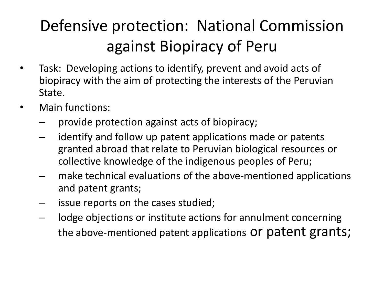## Defensive protection: National Commission against Biopiracy of Peru

- Task: Developing actions to identify, prevent and avoid acts of biopiracy with the aim of protecting the interests of the Peruvian State.
- Main functions:
	- provide protection against acts of biopiracy;
	- identify and follow up patent applications made or patents granted abroad that relate to Peruvian biological resources or collective knowledge of the indigenous peoples of Peru;
	- make technical evaluations of the above-mentioned applications and patent grants;
	- issue reports on the cases studied;
	- lodge objections or institute actions for annulment concerning the above-mentioned patent applications or patent grants;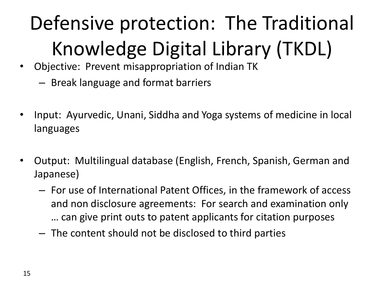# Defensive protection: The Traditional Knowledge Digital Library (TKDL)

- Objective: Prevent misappropriation of Indian TK
	- Break language and format barriers
- Input: Ayurvedic, Unani, Siddha and Yoga systems of medicine in local languages
- Output: Multilingual database (English, French, Spanish, German and Japanese)
	- For use of International Patent Offices, in the framework of access and non disclosure agreements: For search and examination only … can give print outs to patent applicants for citation purposes
	- The content should not be disclosed to third parties